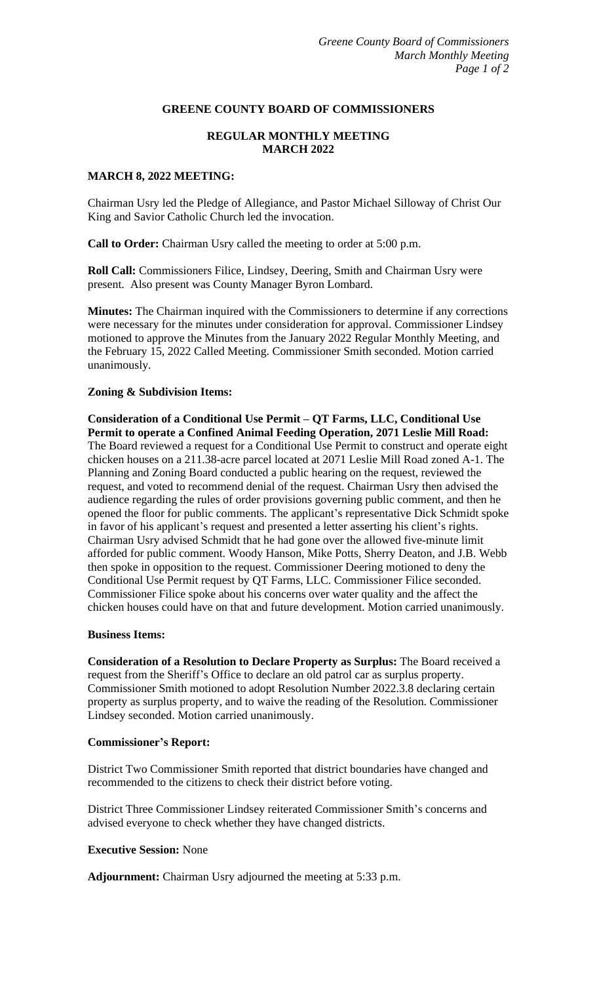### **GREENE COUNTY BOARD OF COMMISSIONERS**

# **REGULAR MONTHLY MEETING MARCH 2022**

# **MARCH 8, 2022 MEETING:**

Chairman Usry led the Pledge of Allegiance, and Pastor Michael Silloway of Christ Our King and Savior Catholic Church led the invocation.

**Call to Order:** Chairman Usry called the meeting to order at 5:00 p.m.

**Roll Call:** Commissioners Filice, Lindsey, Deering, Smith and Chairman Usry were present. Also present was County Manager Byron Lombard.

**Minutes:** The Chairman inquired with the Commissioners to determine if any corrections were necessary for the minutes under consideration for approval. Commissioner Lindsey motioned to approve the Minutes from the January 2022 Regular Monthly Meeting, and the February 15, 2022 Called Meeting. Commissioner Smith seconded. Motion carried unanimously.

### **Zoning & Subdivision Items:**

**Consideration of a Conditional Use Permit – QT Farms, LLC, Conditional Use Permit to operate a Confined Animal Feeding Operation, 2071 Leslie Mill Road:** The Board reviewed a request for a Conditional Use Permit to construct and operate eight chicken houses on a 211.38-acre parcel located at 2071 Leslie Mill Road zoned A-1. The Planning and Zoning Board conducted a public hearing on the request, reviewed the request, and voted to recommend denial of the request. Chairman Usry then advised the audience regarding the rules of order provisions governing public comment, and then he opened the floor for public comments. The applicant's representative Dick Schmidt spoke in favor of his applicant's request and presented a letter asserting his client's rights. Chairman Usry advised Schmidt that he had gone over the allowed five-minute limit afforded for public comment. Woody Hanson, Mike Potts, Sherry Deaton, and J.B. Webb then spoke in opposition to the request. Commissioner Deering motioned to deny the Conditional Use Permit request by QT Farms, LLC. Commissioner Filice seconded. Commissioner Filice spoke about his concerns over water quality and the affect the chicken houses could have on that and future development. Motion carried unanimously.

## **Business Items:**

**Consideration of a Resolution to Declare Property as Surplus:** The Board received a request from the Sheriff's Office to declare an old patrol car as surplus property. Commissioner Smith motioned to adopt Resolution Number 2022.3.8 declaring certain property as surplus property, and to waive the reading of the Resolution. Commissioner Lindsey seconded. Motion carried unanimously.

#### **Commissioner's Report:**

District Two Commissioner Smith reported that district boundaries have changed and recommended to the citizens to check their district before voting.

District Three Commissioner Lindsey reiterated Commissioner Smith's concerns and advised everyone to check whether they have changed districts.

## **Executive Session:** None

**Adjournment:** Chairman Usry adjourned the meeting at 5:33 p.m.